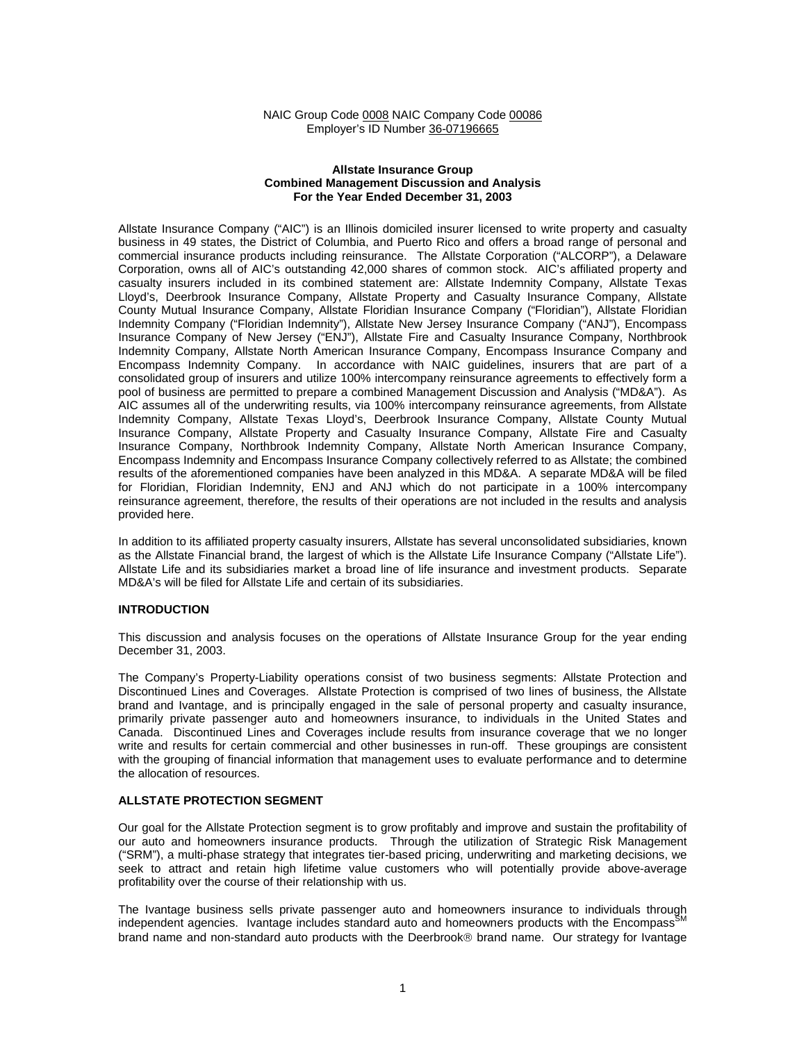#### NAIC Group Code 0008 NAIC Company Code 00086 Employer's ID Number 36-07196665

#### **Allstate Insurance Group Combined Management Discussion and Analysis For the Year Ended December 31, 2003**

Allstate Insurance Company ("AIC") is an Illinois domiciled insurer licensed to write property and casualty business in 49 states, the District of Columbia, and Puerto Rico and offers a broad range of personal and commercial insurance products including reinsurance. The Allstate Corporation ("ALCORP"), a Delaware Corporation, owns all of AIC's outstanding 42,000 shares of common stock. AIC's affiliated property and casualty insurers included in its combined statement are: Allstate Indemnity Company, Allstate Texas Lloyd's, Deerbrook Insurance Company, Allstate Property and Casualty Insurance Company, Allstate County Mutual Insurance Company, Allstate Floridian Insurance Company ("Floridian"), Allstate Floridian Indemnity Company ("Floridian Indemnity"), Allstate New Jersey Insurance Company ("ANJ"), Encompass Insurance Company of New Jersey ("ENJ"), Allstate Fire and Casualty Insurance Company, Northbrook Indemnity Company, Allstate North American Insurance Company, Encompass Insurance Company and Encompass Indemnity Company. In accordance with NAIC guidelines, insurers that are part of a consolidated group of insurers and utilize 100% intercompany reinsurance agreements to effectively form a pool of business are permitted to prepare a combined Management Discussion and Analysis ("MD&A"). As AIC assumes all of the underwriting results, via 100% intercompany reinsurance agreements, from Allstate Indemnity Company, Allstate Texas Lloyd's, Deerbrook Insurance Company, Allstate County Mutual Insurance Company, Allstate Property and Casualty Insurance Company, Allstate Fire and Casualty Insurance Company, Northbrook Indemnity Company, Allstate North American Insurance Company, Encompass Indemnity and Encompass Insurance Company collectively referred to as Allstate; the combined results of the aforementioned companies have been analyzed in this MD&A. A separate MD&A will be filed for Floridian, Floridian Indemnity, ENJ and ANJ which do not participate in a 100% intercompany reinsurance agreement, therefore, the results of their operations are not included in the results and analysis provided here.

In addition to its affiliated property casualty insurers, Allstate has several unconsolidated subsidiaries, known as the Allstate Financial brand, the largest of which is the Allstate Life Insurance Company ("Allstate Life"). Allstate Life and its subsidiaries market a broad line of life insurance and investment products. Separate MD&A's will be filed for Allstate Life and certain of its subsidiaries.

## **INTRODUCTION**

This discussion and analysis focuses on the operations of Allstate Insurance Group for the year ending December 31, 2003.

The Company's Property-Liability operations consist of two business segments: Allstate Protection and Discontinued Lines and Coverages. Allstate Protection is comprised of two lines of business, the Allstate brand and Ivantage, and is principally engaged in the sale of personal property and casualty insurance, primarily private passenger auto and homeowners insurance, to individuals in the United States and Canada. Discontinued Lines and Coverages include results from insurance coverage that we no longer write and results for certain commercial and other businesses in run-off. These groupings are consistent with the grouping of financial information that management uses to evaluate performance and to determine the allocation of resources.

# **ALLSTATE PROTECTION SEGMENT**

Our goal for the Allstate Protection segment is to grow profitably and improve and sustain the profitability of our auto and homeowners insurance products. Through the utilization of Strategic Risk Management ("SRM"), a multi-phase strategy that integrates tier-based pricing, underwriting and marketing decisions, we seek to attract and retain high lifetime value customers who will potentially provide above-average profitability over the course of their relationship with us.

The Ivantage business sells private passenger auto and homeowners insurance to individuals through independent agencies. Ivantage includes standard auto and homeowners products with the Encompass<sup>S</sup> brand name and non-standard auto products with the Deerbrook<sup>®</sup> brand name. Our strategy for Ivantage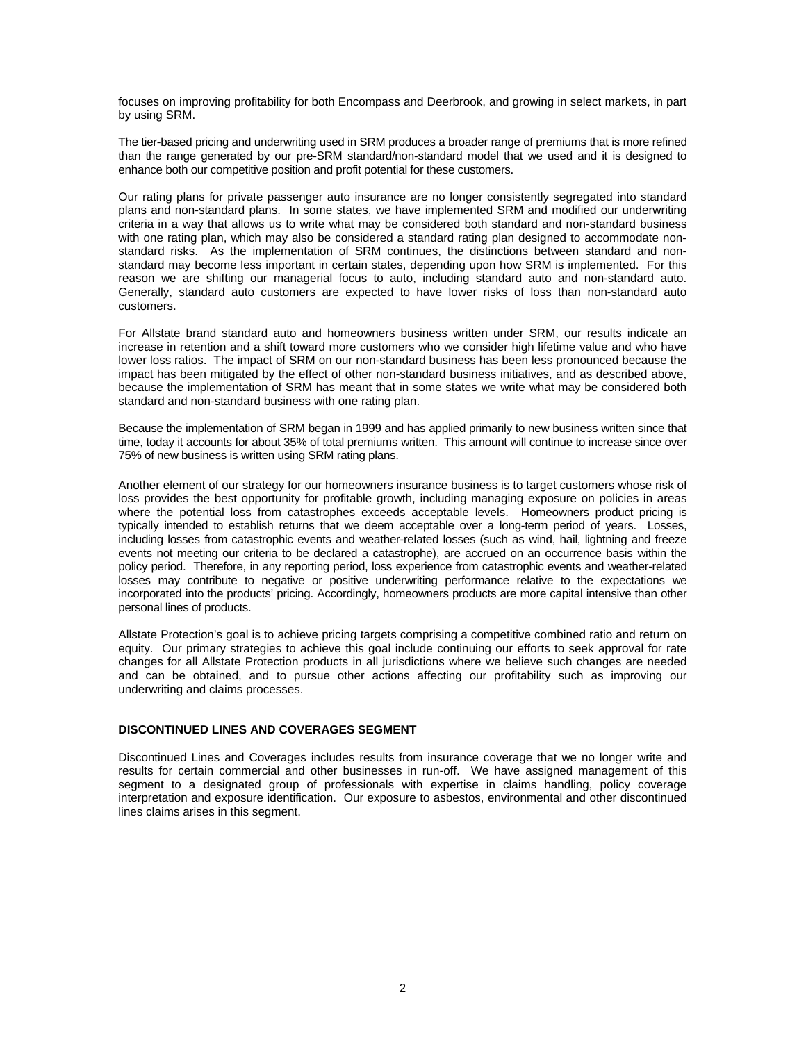focuses on improving profitability for both Encompass and Deerbrook, and growing in select markets, in part by using SRM.

The tier-based pricing and underwriting used in SRM produces a broader range of premiums that is more refined than the range generated by our pre-SRM standard/non-standard model that we used and it is designed to enhance both our competitive position and profit potential for these customers.

Our rating plans for private passenger auto insurance are no longer consistently segregated into standard plans and non-standard plans. In some states, we have implemented SRM and modified our underwriting criteria in a way that allows us to write what may be considered both standard and non-standard business with one rating plan, which may also be considered a standard rating plan designed to accommodate nonstandard risks. As the implementation of SRM continues, the distinctions between standard and nonstandard may become less important in certain states, depending upon how SRM is implemented. For this reason we are shifting our managerial focus to auto, including standard auto and non-standard auto. Generally, standard auto customers are expected to have lower risks of loss than non-standard auto customers.

For Allstate brand standard auto and homeowners business written under SRM, our results indicate an increase in retention and a shift toward more customers who we consider high lifetime value and who have lower loss ratios. The impact of SRM on our non-standard business has been less pronounced because the impact has been mitigated by the effect of other non-standard business initiatives, and as described above, because the implementation of SRM has meant that in some states we write what may be considered both standard and non-standard business with one rating plan.

Because the implementation of SRM began in 1999 and has applied primarily to new business written since that time, today it accounts for about 35% of total premiums written. This amount will continue to increase since over 75% of new business is written using SRM rating plans.

Another element of our strategy for our homeowners insurance business is to target customers whose risk of loss provides the best opportunity for profitable growth, including managing exposure on policies in areas where the potential loss from catastrophes exceeds acceptable levels.Homeowners product pricing is typically intended to establish returns that we deem acceptable over a long-term period of years. Losses, including losses from catastrophic events and weather-related losses (such as wind, hail, lightning and freeze events not meeting our criteria to be declared a catastrophe), are accrued on an occurrence basis within the policy period. Therefore, in any reporting period, loss experience from catastrophic events and weather-related losses may contribute to negative or positive underwriting performance relative to the expectations we incorporated into the products' pricing. Accordingly, homeowners products are more capital intensive than other personal lines of products.

Allstate Protection's goal is to achieve pricing targets comprising a competitive combined ratio and return on equity. Our primary strategies to achieve this goal include continuing our efforts to seek approval for rate changes for all Allstate Protection products in all jurisdictions where we believe such changes are needed and can be obtained, and to pursue other actions affecting our profitability such as improving our underwriting and claims processes.

#### **DISCONTINUED LINES AND COVERAGES SEGMENT**

Discontinued Lines and Coverages includes results from insurance coverage that we no longer write and results for certain commercial and other businesses in run-off. We have assigned management of this segment to a designated group of professionals with expertise in claims handling, policy coverage interpretation and exposure identification. Our exposure to asbestos, environmental and other discontinued lines claims arises in this segment.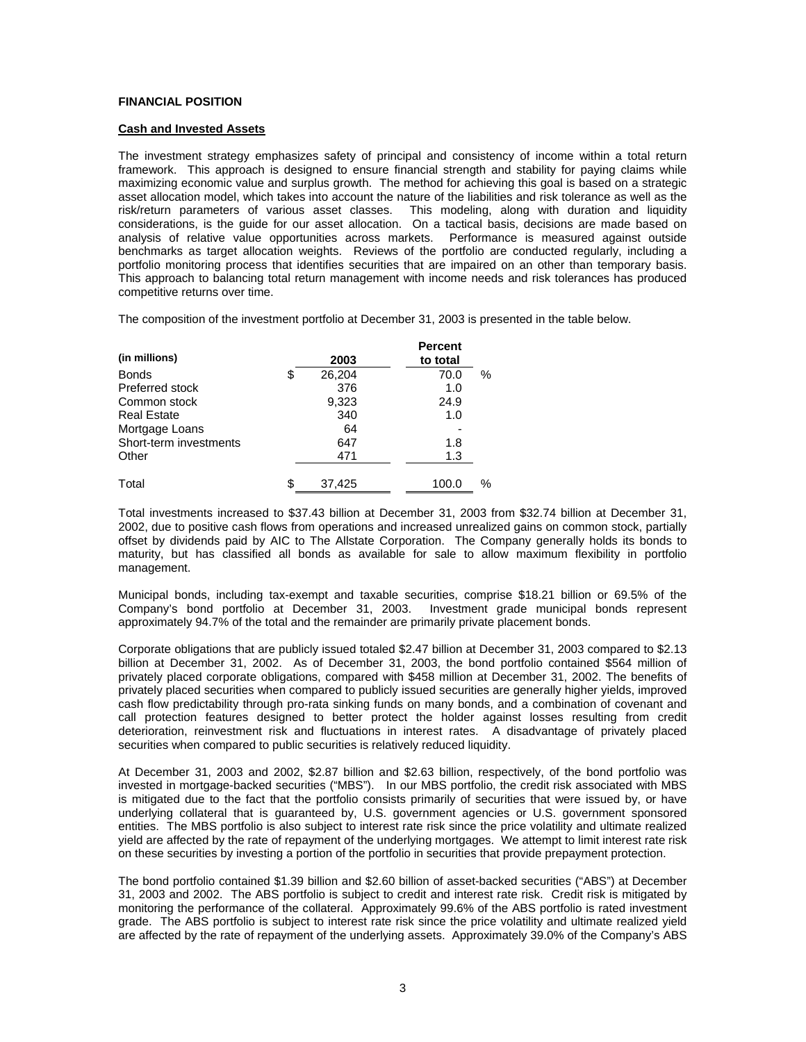## **FINANCIAL POSITION**

## **Cash and Invested Assets**

The investment strategy emphasizes safety of principal and consistency of income within a total return framework. This approach is designed to ensure financial strength and stability for paying claims while maximizing economic value and surplus growth. The method for achieving this goal is based on a strategic asset allocation model, which takes into account the nature of the liabilities and risk tolerance as well as the risk/return parameters of various asset classes. This modeling, along with duration and liquidity considerations, is the guide for our asset allocation. On a tactical basis, decisions are made based on analysis of relative value opportunities across markets. Performance is measured against outside benchmarks as target allocation weights. Reviews of the portfolio are conducted regularly, including a portfolio monitoring process that identifies securities that are impaired on an other than temporary basis. This approach to balancing total return management with income needs and risk tolerances has produced competitive returns over time.

The composition of the investment portfolio at December 31, 2003 is presented in the table below.

| (in millions)          | 2003         | <b>Percent</b><br>to total |      |
|------------------------|--------------|----------------------------|------|
| <b>Bonds</b>           | \$<br>26,204 | 70.0                       | $\%$ |
| Preferred stock        | 376          | 1.0                        |      |
| Common stock           | 9,323        | 24.9                       |      |
| <b>Real Estate</b>     | 340          | 1.0                        |      |
| Mortgage Loans         | 64           |                            |      |
| Short-term investments | 647          | 1.8                        |      |
| Other                  | 471          | 1.3                        |      |
| Total                  | \$<br>37,425 | 100.0                      | %    |

Total investments increased to \$37.43 billion at December 31, 2003 from \$32.74 billion at December 31, 2002, due to positive cash flows from operations and increased unrealized gains on common stock, partially offset by dividends paid by AIC to The Allstate Corporation. The Company generally holds its bonds to maturity, but has classified all bonds as available for sale to allow maximum flexibility in portfolio management.

Municipal bonds, including tax-exempt and taxable securities, comprise \$18.21 billion or 69.5% of the Company's bond portfolio at December 31, 2003. Investment grade municipal bonds represent approximately 94.7% of the total and the remainder are primarily private placement bonds.

Corporate obligations that are publicly issued totaled \$2.47 billion at December 31, 2003 compared to \$2.13 billion at December 31, 2002. As of December 31, 2003, the bond portfolio contained \$564 million of privately placed corporate obligations, compared with \$458 million at December 31, 2002. The benefits of privately placed securities when compared to publicly issued securities are generally higher yields, improved cash flow predictability through pro-rata sinking funds on many bonds, and a combination of covenant and call protection features designed to better protect the holder against losses resulting from credit deterioration, reinvestment risk and fluctuations in interest rates. A disadvantage of privately placed securities when compared to public securities is relatively reduced liquidity.

At December 31, 2003 and 2002, \$2.87 billion and \$2.63 billion, respectively, of the bond portfolio was invested in mortgage-backed securities ("MBS"). In our MBS portfolio, the credit risk associated with MBS is mitigated due to the fact that the portfolio consists primarily of securities that were issued by, or have underlying collateral that is guaranteed by, U.S. government agencies or U.S. government sponsored entities. The MBS portfolio is also subject to interest rate risk since the price volatility and ultimate realized yield are affected by the rate of repayment of the underlying mortgages. We attempt to limit interest rate risk on these securities by investing a portion of the portfolio in securities that provide prepayment protection.

The bond portfolio contained \$1.39 billion and \$2.60 billion of asset-backed securities ("ABS") at December 31, 2003 and 2002. The ABS portfolio is subject to credit and interest rate risk. Credit risk is mitigated by monitoring the performance of the collateral. Approximately 99.6% of the ABS portfolio is rated investment grade. The ABS portfolio is subject to interest rate risk since the price volatility and ultimate realized yield are affected by the rate of repayment of the underlying assets. Approximately 39.0% of the Company's ABS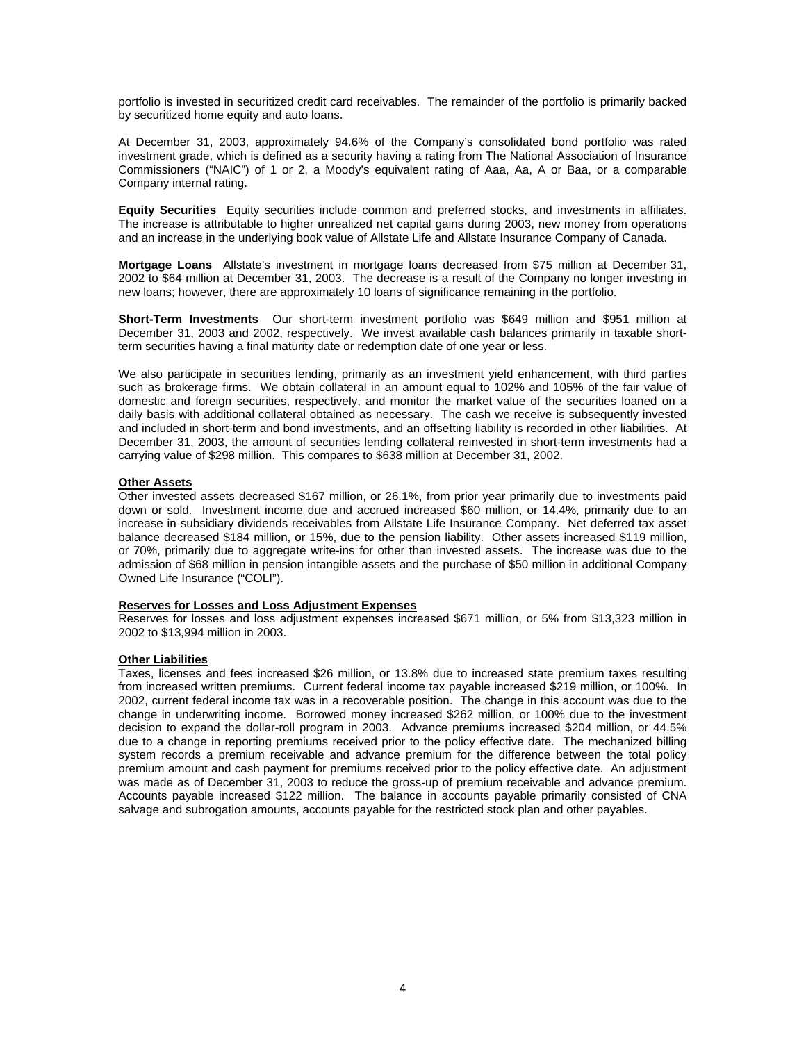portfolio is invested in securitized credit card receivables. The remainder of the portfolio is primarily backed by securitized home equity and auto loans.

At December 31, 2003, approximately 94.6% of the Company's consolidated bond portfolio was rated investment grade, which is defined as a security having a rating from The National Association of Insurance Commissioners ("NAIC") of 1 or 2, a Moody's equivalent rating of Aaa, Aa, A or Baa, or a comparable Company internal rating.

**Equity Securities** Equity securities include common and preferred stocks, and investments in affiliates. The increase is attributable to higher unrealized net capital gains during 2003, new money from operations and an increase in the underlying book value of Allstate Life and Allstate Insurance Company of Canada.

**Mortgage Loans** Allstate's investment in mortgage loans decreased from \$75 million at December 31, 2002 to \$64 million at December 31, 2003. The decrease is a result of the Company no longer investing in new loans; however, there are approximately 10 loans of significance remaining in the portfolio.

**Short-Term Investments** Our short-term investment portfolio was \$649 million and \$951 million at December 31, 2003 and 2002, respectively. We invest available cash balances primarily in taxable shortterm securities having a final maturity date or redemption date of one year or less.

We also participate in securities lending, primarily as an investment yield enhancement, with third parties such as brokerage firms. We obtain collateral in an amount equal to 102% and 105% of the fair value of domestic and foreign securities, respectively, and monitor the market value of the securities loaned on a daily basis with additional collateral obtained as necessary. The cash we receive is subsequently invested and included in short-term and bond investments, and an offsetting liability is recorded in other liabilities. At December 31, 2003, the amount of securities lending collateral reinvested in short-term investments had a carrying value of \$298 million. This compares to \$638 million at December 31, 2002.

## **Other Assets**

Other invested assets decreased \$167 million, or 26.1%, from prior year primarily due to investments paid down or sold. Investment income due and accrued increased \$60 million, or 14.4%, primarily due to an increase in subsidiary dividends receivables from Allstate Life Insurance Company. Net deferred tax asset balance decreased \$184 million, or 15%, due to the pension liability. Other assets increased \$119 million, or 70%, primarily due to aggregate write-ins for other than invested assets. The increase was due to the admission of \$68 million in pension intangible assets and the purchase of \$50 million in additional Company Owned Life Insurance ("COLI").

# **Reserves for Losses and Loss Adjustment Expenses**

Reserves for losses and loss adjustment expenses increased \$671 million, or 5% from \$13,323 million in 2002 to \$13,994 million in 2003.

#### **Other Liabilities**

Taxes, licenses and fees increased \$26 million, or 13.8% due to increased state premium taxes resulting from increased written premiums. Current federal income tax payable increased \$219 million, or 100%. In 2002, current federal income tax was in a recoverable position. The change in this account was due to the change in underwriting income. Borrowed money increased \$262 million, or 100% due to the investment decision to expand the dollar-roll program in 2003. Advance premiums increased \$204 million, or 44.5% due to a change in reporting premiums received prior to the policy effective date. The mechanized billing system records a premium receivable and advance premium for the difference between the total policy premium amount and cash payment for premiums received prior to the policy effective date. An adjustment was made as of December 31, 2003 to reduce the gross-up of premium receivable and advance premium. Accounts payable increased \$122 million. The balance in accounts payable primarily consisted of CNA salvage and subrogation amounts, accounts payable for the restricted stock plan and other payables.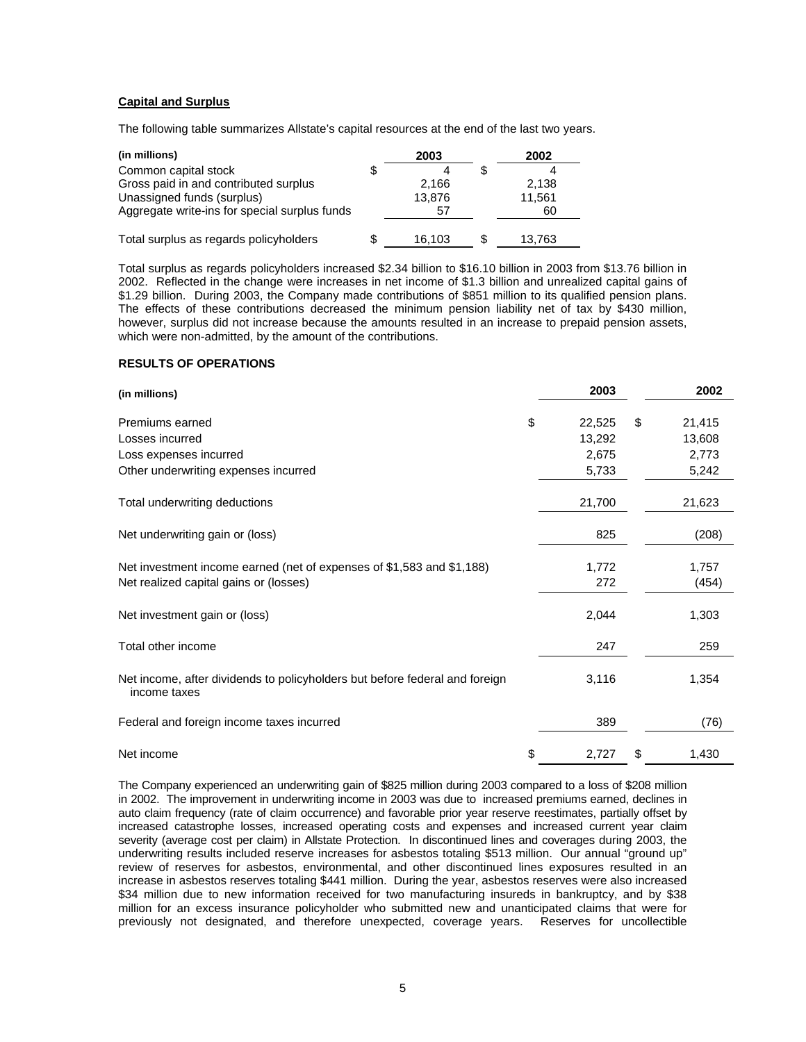## **Capital and Surplus**

The following table summarizes Allstate's capital resources at the end of the last two years.

| (in millions)                                 | 2003   | 2002   |  |
|-----------------------------------------------|--------|--------|--|
| Common capital stock                          |        |        |  |
| Gross paid in and contributed surplus         | 2,166  | 2.138  |  |
| Unassigned funds (surplus)                    | 13,876 | 11,561 |  |
| Aggregate write-ins for special surplus funds | 57     | 60     |  |
|                                               |        |        |  |
| Total surplus as regards policyholders        | 16,103 | 13.763 |  |

Total surplus as regards policyholders increased \$2.34 billion to \$16.10 billion in 2003 from \$13.76 billion in 2002. Reflected in the change were increases in net income of \$1.3 billion and unrealized capital gains of \$1.29 billion. During 2003, the Company made contributions of \$851 million to its qualified pension plans. The effects of these contributions decreased the minimum pension liability net of tax by \$430 million, however, surplus did not increase because the amounts resulted in an increase to prepaid pension assets, which were non-admitted, by the amount of the contributions.

## **RESULTS OF OPERATIONS**

| (in millions)                                                                               | 2003         | 2002         |
|---------------------------------------------------------------------------------------------|--------------|--------------|
| Premiums earned                                                                             | \$<br>22,525 | \$<br>21,415 |
| Losses incurred                                                                             | 13,292       | 13,608       |
| Loss expenses incurred                                                                      | 2,675        | 2,773        |
| Other underwriting expenses incurred                                                        | 5,733        | 5,242        |
| Total underwriting deductions                                                               | 21,700       | 21,623       |
| Net underwriting gain or (loss)                                                             | 825          | (208)        |
| Net investment income earned (net of expenses of \$1,583 and \$1,188)                       | 1,772        | 1,757        |
| Net realized capital gains or (losses)                                                      | 272          | (454)        |
| Net investment gain or (loss)                                                               | 2,044        | 1,303        |
| Total other income                                                                          | 247          | 259          |
| Net income, after dividends to policyholders but before federal and foreign<br>income taxes | 3,116        | 1,354        |
| Federal and foreign income taxes incurred                                                   | 389          | (76)         |
| Net income                                                                                  | \$<br>2,727  | \$<br>1,430  |

The Company experienced an underwriting gain of \$825 million during 2003 compared to a loss of \$208 million in 2002. The improvement in underwriting income in 2003 was due to increased premiums earned, declines in auto claim frequency (rate of claim occurrence) and favorable prior year reserve reestimates, partially offset by increased catastrophe losses, increased operating costs and expenses and increased current year claim severity (average cost per claim) in Allstate Protection. In discontinued lines and coverages during 2003, the underwriting results included reserve increases for asbestos totaling \$513 million. Our annual "ground up" review of reserves for asbestos, environmental, and other discontinued lines exposures resulted in an increase in asbestos reserves totaling \$441 million. During the year, asbestos reserves were also increased \$34 million due to new information received for two manufacturing insureds in bankruptcy, and by \$38 million for an excess insurance policyholder who submitted new and unanticipated claims that were for previously not designated, and therefore unexpected, coverage years. Reserves for uncollectible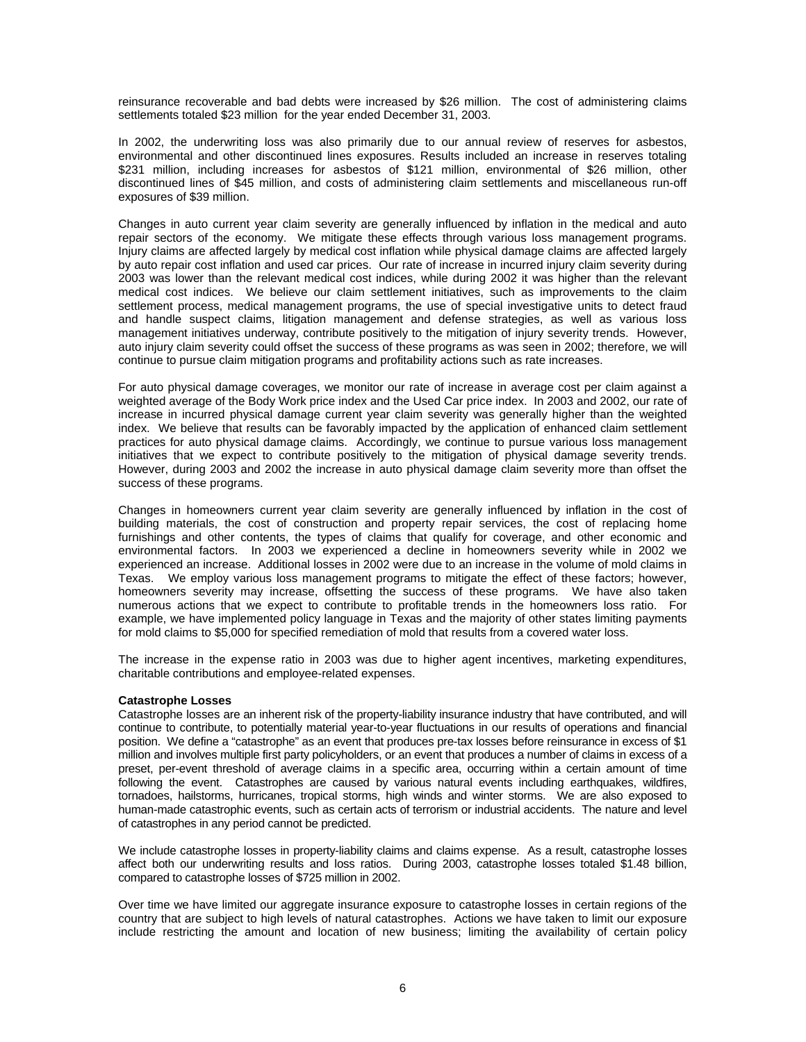reinsurance recoverable and bad debts were increased by \$26 million. The cost of administering claims settlements totaled \$23 million for the year ended December 31, 2003.

In 2002, the underwriting loss was also primarily due to our annual review of reserves for asbestos, environmental and other discontinued lines exposures. Results included an increase in reserves totaling \$231 million, including increases for asbestos of \$121 million, environmental of \$26 million, other discontinued lines of \$45 million, and costs of administering claim settlements and miscellaneous run-off exposures of \$39 million.

Changes in auto current year claim severity are generally influenced by inflation in the medical and auto repair sectors of the economy. We mitigate these effects through various loss management programs. Injury claims are affected largely by medical cost inflation while physical damage claims are affected largely by auto repair cost inflation and used car prices. Our rate of increase in incurred injury claim severity during 2003 was lower than the relevant medical cost indices, while during 2002 it was higher than the relevant medical cost indices. We believe our claim settlement initiatives, such as improvements to the claim settlement process, medical management programs, the use of special investigative units to detect fraud and handle suspect claims, litigation management and defense strategies, as well as various loss management initiatives underway, contribute positively to the mitigation of injury severity trends. However, auto injury claim severity could offset the success of these programs as was seen in 2002; therefore, we will continue to pursue claim mitigation programs and profitability actions such as rate increases.

For auto physical damage coverages, we monitor our rate of increase in average cost per claim against a weighted average of the Body Work price index and the Used Car price index. In 2003 and 2002, our rate of increase in incurred physical damage current year claim severity was generally higher than the weighted index. We believe that results can be favorably impacted by the application of enhanced claim settlement practices for auto physical damage claims. Accordingly, we continue to pursue various loss management initiatives that we expect to contribute positively to the mitigation of physical damage severity trends. However, during 2003 and 2002 the increase in auto physical damage claim severity more than offset the success of these programs.

Changes in homeowners current year claim severity are generally influenced by inflation in the cost of building materials, the cost of construction and property repair services, the cost of replacing home furnishings and other contents, the types of claims that qualify for coverage, and other economic and environmental factors. In 2003 we experienced a decline in homeowners severity while in 2002 we experienced an increase. Additional losses in 2002 were due to an increase in the volume of mold claims in Texas. We employ various loss management programs to mitigate the effect of these factors; however, homeowners severity may increase, offsetting the success of these programs. We have also taken numerous actions that we expect to contribute to profitable trends in the homeowners loss ratio. For example, we have implemented policy language in Texas and the majority of other states limiting payments for mold claims to \$5,000 for specified remediation of mold that results from a covered water loss.

The increase in the expense ratio in 2003 was due to higher agent incentives, marketing expenditures, charitable contributions and employee-related expenses.

#### **Catastrophe Losses**

Catastrophe losses are an inherent risk of the property-liability insurance industry that have contributed, and will continue to contribute, to potentially material year-to-year fluctuations in our results of operations and financial position. We define a "catastrophe" as an event that produces pre-tax losses before reinsurance in excess of \$1 million and involves multiple first party policyholders, or an event that produces a number of claims in excess of a preset, per-event threshold of average claims in a specific area, occurring within a certain amount of time following the event. Catastrophes are caused by various natural events including earthquakes, wildfires, tornadoes, hailstorms, hurricanes, tropical storms, high winds and winter storms. We are also exposed to human-made catastrophic events, such as certain acts of terrorism or industrial accidents. The nature and level of catastrophes in any period cannot be predicted.

We include catastrophe losses in property-liability claims and claims expense. As a result, catastrophe losses affect both our underwriting results and loss ratios. During 2003, catastrophe losses totaled \$1.48 billion, compared to catastrophe losses of \$725 million in 2002.

Over time we have limited our aggregate insurance exposure to catastrophe losses in certain regions of the country that are subject to high levels of natural catastrophes. Actions we have taken to limit our exposure include restricting the amount and location of new business; limiting the availability of certain policy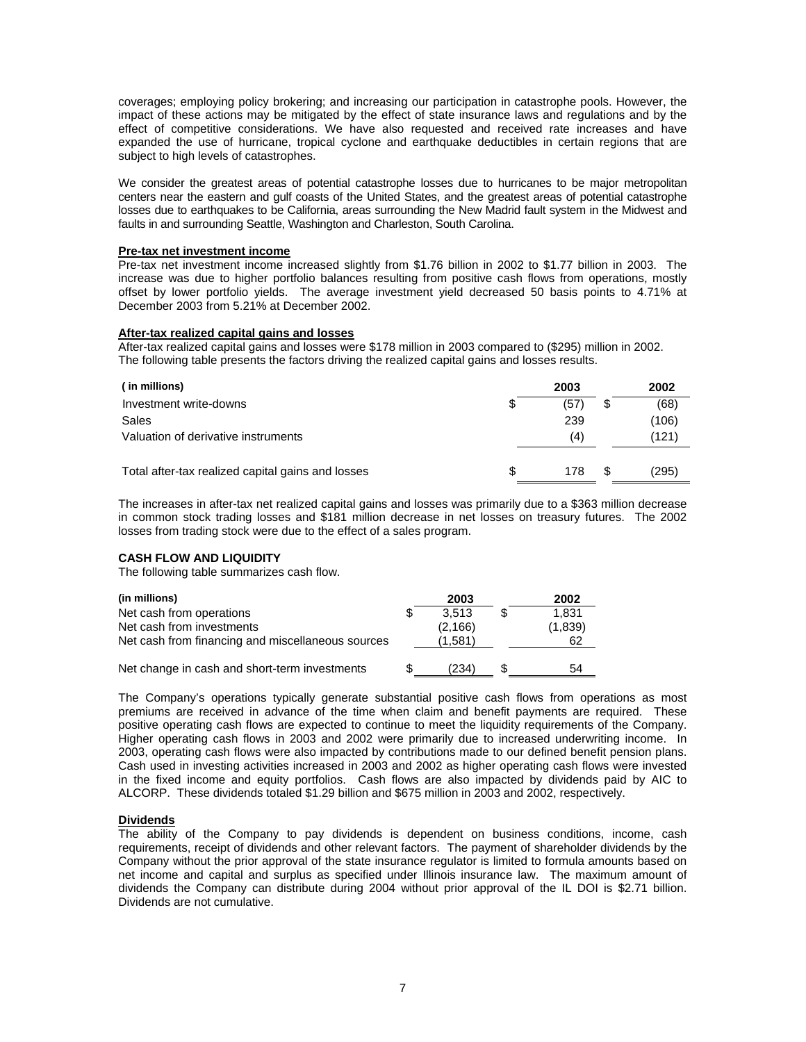coverages; employing policy brokering; and increasing our participation in catastrophe pools. However, the impact of these actions may be mitigated by the effect of state insurance laws and regulations and by the effect of competitive considerations. We have also requested and received rate increases and have expanded the use of hurricane, tropical cyclone and earthquake deductibles in certain regions that are subject to high levels of catastrophes.

We consider the greatest areas of potential catastrophe losses due to hurricanes to be major metropolitan centers near the eastern and gulf coasts of the United States, and the greatest areas of potential catastrophe losses due to earthquakes to be California, areas surrounding the New Madrid fault system in the Midwest and faults in and surrounding Seattle, Washington and Charleston, South Carolina.

#### **Pre-tax net investment income**

Pre-tax net investment income increased slightly from \$1.76 billion in 2002 to \$1.77 billion in 2003. The increase was due to higher portfolio balances resulting from positive cash flows from operations, mostly offset by lower portfolio yields. The average investment yield decreased 50 basis points to 4.71% at December 2003 from 5.21% at December 2002.

## **After-tax realized capital gains and losses**

After-tax realized capital gains and losses were \$178 million in 2003 compared to (\$295) million in 2002. The following table presents the factors driving the realized capital gains and losses results.

| ( in millions)                                    |    | 2003 |     | 2002  |
|---------------------------------------------------|----|------|-----|-------|
| Investment write-downs                            | \$ | '57  | S   | (68)  |
| Sales                                             |    | 239  |     | (106) |
| Valuation of derivative instruments               |    | (4)  |     | (121) |
|                                                   |    |      |     |       |
| Total after-tax realized capital gains and losses | S. | 178  | \$. | (295) |

The increases in after-tax net realized capital gains and losses was primarily due to a \$363 million decrease in common stock trading losses and \$181 million decrease in net losses on treasury futures. The 2002 losses from trading stock were due to the effect of a sales program.

## **CASH FLOW AND LIQUIDITY**

The following table summarizes cash flow.

| (in millions)                                     | 2003     | 2002    |
|---------------------------------------------------|----------|---------|
| Net cash from operations                          | 3.513    | 1.831   |
| Net cash from investments                         | (2, 166) | (1,839) |
| Net cash from financing and miscellaneous sources | (1.581)  | 62      |
|                                                   |          |         |
| Net change in cash and short-term investments     | (234)    | 54      |

The Company's operations typically generate substantial positive cash flows from operations as most premiums are received in advance of the time when claim and benefit payments are required. These positive operating cash flows are expected to continue to meet the liquidity requirements of the Company. Higher operating cash flows in 2003 and 2002 were primarily due to increased underwriting income. In 2003, operating cash flows were also impacted by contributions made to our defined benefit pension plans. Cash used in investing activities increased in 2003 and 2002 as higher operating cash flows were invested in the fixed income and equity portfolios. Cash flows are also impacted by dividends paid by AIC to ALCORP. These dividends totaled \$1.29 billion and \$675 million in 2003 and 2002, respectively.

## **Dividends**

The ability of the Company to pay dividends is dependent on business conditions, income, cash requirements, receipt of dividends and other relevant factors. The payment of shareholder dividends by the Company without the prior approval of the state insurance regulator is limited to formula amounts based on net income and capital and surplus as specified under Illinois insurance law. The maximum amount of dividends the Company can distribute during 2004 without prior approval of the IL DOI is \$2.71 billion. Dividends are not cumulative.